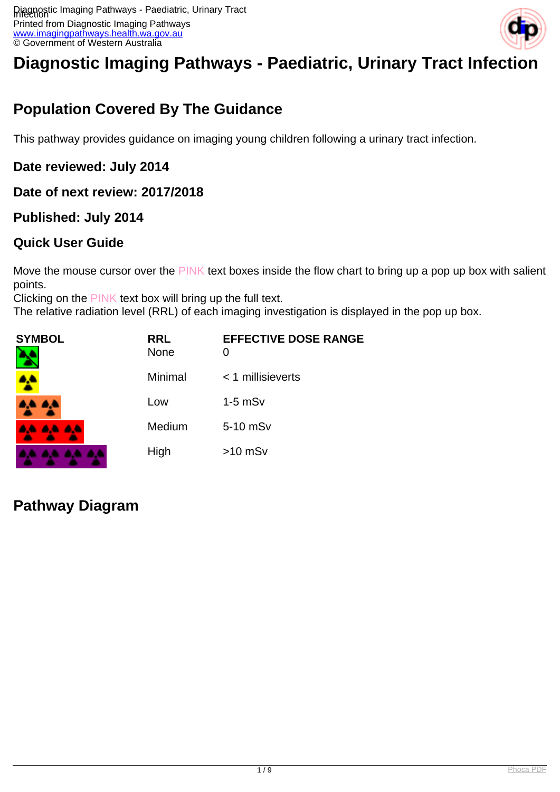

# **Diagnostic Imaging Pathways - Paediatric, Urinary Tract Infection**

# **Population Covered By The Guidance**

This pathway provides guidance on imaging young children following a urinary tract infection.

#### **Date reviewed: July 2014**

#### **Date of next review: 2017/2018**

#### **Published: July 2014**

#### **Quick User Guide**

Move the mouse cursor over the PINK text boxes inside the flow chart to bring up a pop up box with salient points.

Clicking on the PINK text box will bring up the full text.

The relative radiation level (RRL) of each imaging investigation is displayed in the pop up box.

| <b>SYMBOL</b><br>٦ | <b>RRL</b><br><b>None</b> | <b>EFFECTIVE DOSE RANGE</b><br>0 |
|--------------------|---------------------------|----------------------------------|
|                    | Minimal                   | $<$ 1 millisieverts              |
| A.A. 4,4           | Low                       | $1-5$ mS $v$                     |
| <b>AA AA AA</b>    | Medium                    | 5-10 mSv                         |
| .                  | High                      | $>10$ mSv                        |

#### **Pathway Diagram**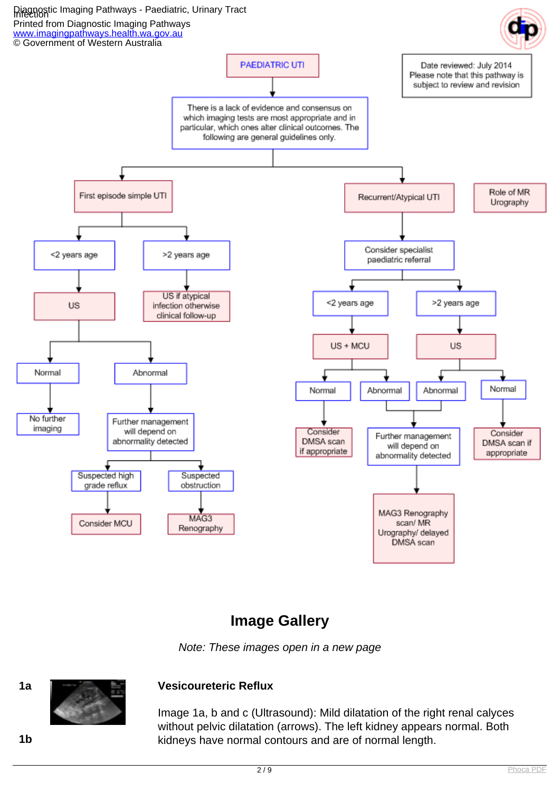

#### **Image Gallery**

Note: These images open in a new page



#### **1a Vesicoureteric Reflux**

Image 1a, b and c (Ultrasound): Mild dilatation of the right renal calyces without pelvic dilatation (arrows). The left kidney appears normal. Both **1b** kidneys have normal contours and are of normal length.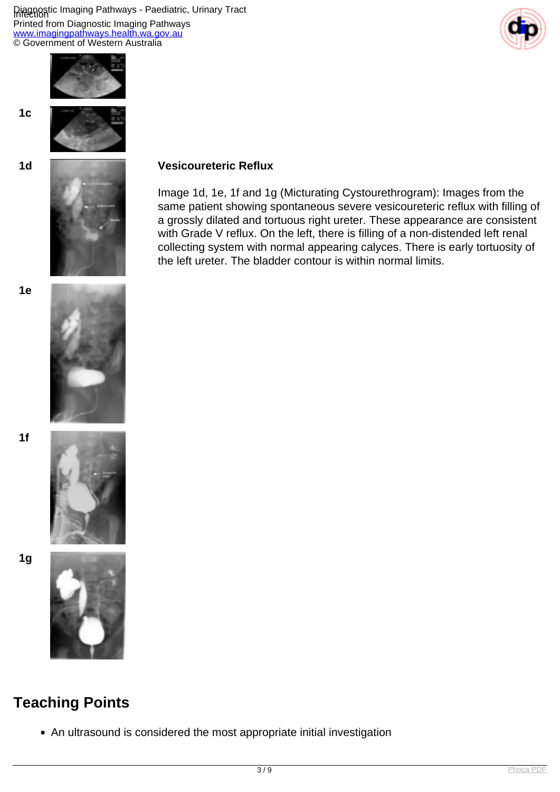Diagnostic Imaging Pathways - Paediatric, Urinary Tract Printed from Diagnostic Imaging Pathways [www.imagingpathways.health.wa.gov.au](http://www.imagingpathways.health.wa.gov.au/) © Government of Western Australia





**1c**



#### **1d Vesicoureteric Reflux**

Image 1d, 1e, 1f and 1g (Micturating Cystourethrogram): Images from the same patient showing spontaneous severe vesicoureteric reflux with filling of a grossly dilated and tortuous right ureter. These appearance are consistent with Grade V reflux. On the left, there is filling of a non-distended left renal collecting system with normal appearing calyces. There is early tortuosity of the left ureter. The bladder contour is within normal limits.



**1f**



**1g**



# **Teaching Points**

An ultrasound is considered the most appropriate initial investigation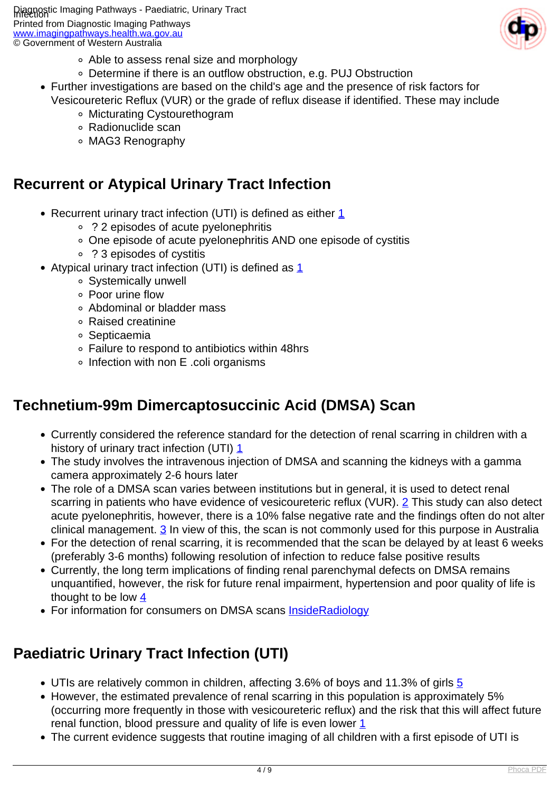

- Able to assess renal size and morphology
- Determine if there is an outflow obstruction, e.g. PUJ Obstruction
- Further investigations are based on the child's age and the presence of risk factors for Vesicoureteric Reflux (VUR) or the grade of reflux disease if identified. These may include
	- Micturating Cystourethogram
	- Radionuclide scan
	- MAG3 Renography

### **Recurrent or Atypical Urinary Tract Infection**

- Recurrent urinary tract infection (UTI) is defined as either [1](index.php/imaging-pathways/paediatrics/urinary-tract-infection?tab=references#1)
	- ? 2 episodes of acute pyelonephritis
	- One episode of acute pyelonephritis AND one episode of cystitis
	- ? 3 episodes of cystitis
- Atypical urinary tract infection (UTI) is defined as  $1$ 
	- Systemically unwell
	- Poor urine flow
	- Abdominal or bladder mass
	- Raised creatinine
	- Septicaemia
	- Failure to respond to antibiotics within 48hrs
	- Infection with non E .coli organisms

### **Technetium-99m Dimercaptosuccinic Acid (DMSA) Scan**

- Currently considered the reference standard for the detection of renal scarring in children with a history of urinary tract infection (UTI) [1](index.php/imaging-pathways/paediatrics/urinary-tract-infection?tab=references#1)
- The study involves the intravenous injection of DMSA and scanning the kidneys with a gamma camera approximately 2-6 hours later
- The role of a DMSA scan varies between institutions but in general, it is used to detect renal scarring in patients who have evidence of vesicoureteric reflux (VUR). [2](index.php/imaging-pathways/paediatrics/urinary-tract-infection?tab=references#2) This study can also detect acute pyelonephritis, however, there is a 10% false negative rate and the findings often do not alter clinical management.  $\frac{3}{3}$  In view of this, the scan is not commonly used for this purpose in Australia
- For the detection of renal scarring, it is recommended that the scan be delayed by at least 6 weeks (preferably 3-6 months) following resolution of infection to reduce false positive results
- Currently, the long term implications of finding renal parenchymal defects on DMSA remains unquantified, however, the risk for future renal impairment, hypertension and poor quality of life is thought to be low [4](index.php/imaging-pathways/paediatrics/urinary-tract-infection?tab=references#4)
- For information for consumers on DMSA scans [InsideRadiology](http://www.insideradiology.com.au/pages/view.php?T_id=49#.U8_Oe7HEu7)

# **Paediatric Urinary Tract Infection (UTI)**

- UTIs are relatively common in children, affecting 3.6% of boys and 11.3% of girls [5](index.php/imaging-pathways/paediatrics/urinary-tract-infection?tab=references#5)
- However, the estimated prevalence of renal scarring in this population is approximately 5% (occurring more frequently in those with vesicoureteric reflux) and the risk that this will affect future renal function, blood pressure and quality of life is even lower  $1$
- The current evidence suggests that routine imaging of all children with a first episode of UTI is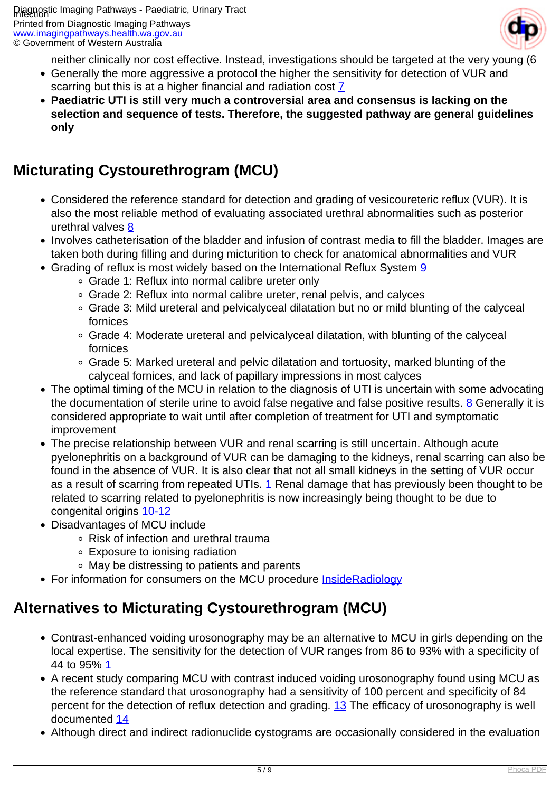

neither clinically nor cost effective. Instead, investigations should be targeted at the very young (6

- Generally the more aggressive a protocol the higher the sensitivity for detection of VUR and scarring but this is at a higher financial and radiation cost  $\overline{Z}$
- **Paediatric UTI is still very much a controversial area and consensus is lacking on the selection and sequence of tests. Therefore, the suggested pathway are general guidelines only**

### **Micturating Cystourethrogram (MCU)**

- Considered the reference standard for detection and grading of vesicoureteric reflux (VUR). It is also the most reliable method of evaluating associated urethral abnormalities such as posterior urethral valves [8](index.php/imaging-pathways/paediatrics/urinary-tract-infection?tab=references#8)
- Involves catheterisation of the bladder and infusion of contrast media to fill the bladder. Images are taken both during filling and during micturition to check for anatomical abnormalities and VUR
- Grading of reflux is most widely based on the International Reflux System [9](index.php/imaging-pathways/paediatrics/urinary-tract-infection?tab=references#9)
	- Grade 1: Reflux into normal calibre ureter only
	- Grade 2: Reflux into normal calibre ureter, renal pelvis, and calyces
	- Grade 3: Mild ureteral and pelvicalyceal dilatation but no or mild blunting of the calyceal fornices
	- Grade 4: Moderate ureteral and pelvicalyceal dilatation, with blunting of the calyceal fornices
	- Grade 5: Marked ureteral and pelvic dilatation and tortuosity, marked blunting of the calyceal fornices, and lack of papillary impressions in most calyces
- The optimal timing of the MCU in relation to the diagnosis of UTI is uncertain with some advocating the documentation of sterile urine to avoid false negative and false positive results. [8](index.php/imaging-pathways/paediatrics/urinary-tract-infection?tab=references#8) Generally it is considered appropriate to wait until after completion of treatment for UTI and symptomatic improvement
- The precise relationship between VUR and renal scarring is still uncertain. Although acute pyelonephritis on a background of VUR can be damaging to the kidneys, renal scarring can also be found in the absence of VUR. It is also clear that not all small kidneys in the setting of VUR occur as a result of scarring from repeated UTIs. [1](index.php/imaging-pathways/paediatrics/urinary-tract-infection?tab=references#1) Renal damage that has previously been thought to be related to scarring related to pyelonephritis is now increasingly being thought to be due to congenital origins [10-12](index.php/imaging-pathways/paediatrics/urinary-tract-infection?tab=references#10)
- Disadvantages of MCU include
	- Risk of infection and urethral trauma
	- Exposure to ionising radiation
	- May be distressing to patients and parents
- For information for consumers on the MCU procedure **InsideRadiology**

### **Alternatives to Micturating Cystourethrogram (MCU)**

- Contrast-enhanced voiding urosonography may be an alternative to MCU in girls depending on the local expertise. The sensitivity for the detection of VUR ranges from 86 to 93% with a specificity of 44 to 95% [1](index.php/imaging-pathways/paediatrics/urinary-tract-infection?tab=references#1)
- A recent study comparing MCU with contrast induced voiding urosonography found using MCU as the reference standard that urosonography had a sensitivity of 100 percent and specificity of 84 percent for the detection of reflux detection and grading. [13](index.php/imaging-pathways/paediatrics/urinary-tract-infection?tab=references#13) The efficacy of urosonography is well documented [14](index.php/imaging-pathways/paediatrics/urinary-tract-infection?tab=references#14)
- Although direct and indirect radionuclide cystograms are occasionally considered in the evaluation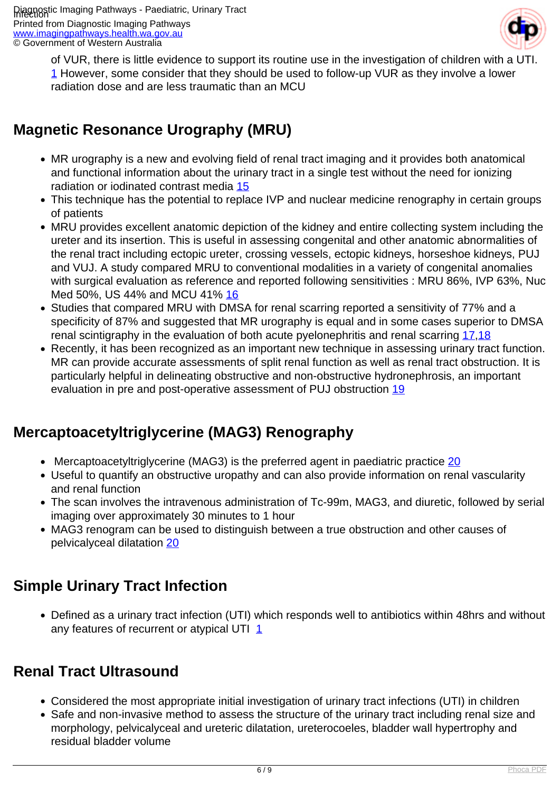

of VUR, there is little evidence to support its routine use in the investigation of children with a UTI. [1](index.php/imaging-pathways/paediatrics/urinary-tract-infection?tab=references#1) However, some consider that they should be used to follow-up VUR as they involve a lower radiation dose and are less traumatic than an MCU

# **Magnetic Resonance Urography (MRU)**

- MR urography is a new and evolving field of renal tract imaging and it provides both anatomical and functional information about the urinary tract in a single test without the need for ionizing radiation or iodinated contrast media [15](index.php/imaging-pathways/paediatrics/urinary-tract-infection?tab=references#15)
- This technique has the potential to replace IVP and nuclear medicine renography in certain groups of patients
- MRU provides excellent anatomic depiction of the kidney and entire collecting system including the ureter and its insertion. This is useful in assessing congenital and other anatomic abnormalities of the renal tract including ectopic ureter, crossing vessels, ectopic kidneys, horseshoe kidneys, PUJ and VUJ. A study compared MRU to conventional modalities in a variety of congenital anomalies with surgical evaluation as reference and reported following sensitivities : MRU 86%, IVP 63%, Nuc Med 50%, US 44% and MCU 41% [16](index.php/imaging-pathways/paediatrics/urinary-tract-infection?tab=references#16)
- Studies that compared MRU with DMSA for renal scarring reported a sensitivity of 77% and a specificity of 87% and suggested that MR urography is equal and in some cases superior to DMSA renal scintigraphy in the evaluation of both acute pyelonephritis and renal scarring [17](index.php/imaging-pathways/paediatrics/urinary-tract-infection?tab=references#17)[,18](index.php/imaging-pathways/paediatrics/urinary-tract-infection?tab=references#18)
- Recently, it has been recognized as an important new technique in assessing urinary tract function. MR can provide accurate assessments of split renal function as well as renal tract obstruction. It is particularly helpful in delineating obstructive and non-obstructive hydronephrosis, an important evaluation in pre and post-operative assessment of PUJ obstruction [19](index.php/imaging-pathways/paediatrics/urinary-tract-infection?tab=references#19)

# **Mercaptoacetyltriglycerine (MAG3) Renography**

- Mercaptoacetyltriglycerine (MAG3) is the preferred agent in paediatric practice [20](index.php/imaging-pathways/paediatrics/urinary-tract-infection?tab=references#20)
- Useful to quantify an obstructive uropathy and can also provide information on renal vascularity and renal function
- The scan involves the intravenous administration of Tc-99m, MAG3, and diuretic, followed by serial imaging over approximately 30 minutes to 1 hour
- MAG3 renogram can be used to distinguish between a true obstruction and other causes of pelvicalyceal dilatation [20](index.php/imaging-pathways/paediatrics/urinary-tract-infection?tab=references#20)

# **Simple Urinary Tract Infection**

Defined as a urinary tract infection (UTI) which responds well to antibiotics within 48hrs and without any features of recurrent or atypical UTI  $1$ 

# **Renal Tract Ultrasound**

- Considered the most appropriate initial investigation of urinary tract infections (UTI) in children
- Safe and non-invasive method to assess the structure of the urinary tract including renal size and morphology, pelvicalyceal and ureteric dilatation, ureterocoeles, bladder wall hypertrophy and residual bladder volume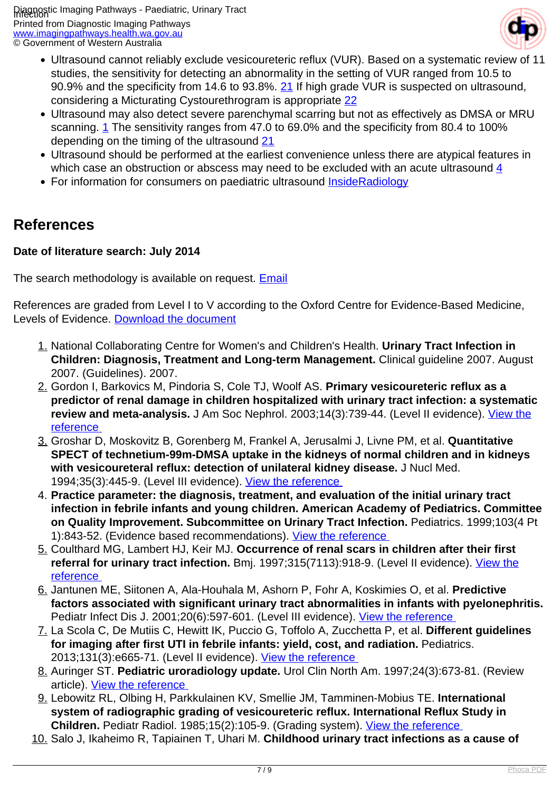

- Ultrasound cannot reliably exclude vesicoureteric reflux (VUR). Based on a systematic review of 11 studies, the sensitivity for detecting an abnormality in the setting of VUR ranged from 10.5 to 90.9% and the specificity from 14.6 to 93.8%. [21](index.php/imaging-pathways/paediatrics/urinary-tract-infection?tab=references#21) If high grade VUR is suspected on ultrasound, considering a Micturating Cystourethrogram is appropriate [22](index.php/imaging-pathways/paediatrics/urinary-tract-infection?tab=references#22)
- Ultrasound may also detect severe parenchymal scarring but not as effectively as DMSA or MRU scanning. [1](index.php/imaging-pathways/paediatrics/urinary-tract-infection?tab=references#1) The sensitivity ranges from 47.0 to 69.0% and the specificity from 80.4 to 100% depending on the timing of the ultrasound [21](index.php/imaging-pathways/paediatrics/urinary-tract-infection?tab=references#21)
- Ultrasound should be performed at the earliest convenience unless there are atypical features in which case an obstruction or abscess may need to be excluded with an acute ultrasound [4](index.php/imaging-pathways/paediatrics/urinary-tract-infection?tab=references#4)
- For information for consumers on paediatric ultrasound [InsideRadiology](http://www.insideradiology.com.au/pages/view.php?T_id=27#.U8_PTLHEu7w)

#### **References**

#### **Date of literature search: July 2014**

The search methodology is available on request. [Email](index.php/contact-us)

References are graded from Level I to V according to the Oxford Centre for Evidence-Based Medicine, Levels of Evidence. [Download the document](http://www.cebm.net/wp-content/uploads/2014/06/CEBM-Levels-of-Evidence-2.1.pdf)

- 1. National Collaborating Centre for Women's and Children's Health. **Urinary Tract Infection in Children: Diagnosis, Treatment and Long-term Management.** Clinical guideline 2007. August 2007. (Guidelines). 2007.
- 2. Gordon I, Barkovics M, Pindoria S, Cole TJ, Woolf AS. **Primary vesicoureteric reflux as a predictor of renal damage in children hospitalized with urinary tract infection: a systematic** review and meta-analysis. J Am Soc Nephrol. 2003;14(3):739-44. (Level II evidence). [View the](http://www.ncbi.nlm.nih.gov/pubmed/12595511?dopt=Abstract) [reference](http://www.ncbi.nlm.nih.gov/pubmed/12595511?dopt=Abstract)
- 3. Groshar D, Moskovitz B, Gorenberg M, Frankel A, Jerusalmi J, Livne PM, et al. **Quantitative SPECT of technetium-99m-DMSA uptake in the kidneys of normal children and in kidneys with vesicoureteral reflux: detection of unilateral kidney disease.** J Nucl Med. 1994;35(3):445-9. (Level III evidence). [View the reference](http://www.ncbi.nlm.nih.gov/pubmed/8113893)
- 4. **Practice parameter: the diagnosis, treatment, and evaluation of the initial urinary tract infection in febrile infants and young children. American Academy of Pediatrics. Committee on Quality Improvement. Subcommittee on Urinary Tract Infection.** Pediatrics. 1999;103(4 Pt 1):843-52. (Evidence based recommendations). View the reference
- 5. Coulthard MG, Lambert HJ, Keir MJ. **Occurrence of renal scars in children after their first** referral for urinary tract infection. Bmj. 1997;315(7113):918-9. (Level II evidence). [View the](http://www.ncbi.nlm.nih.gov/pubmed/9361542) [reference](http://www.ncbi.nlm.nih.gov/pubmed/9361542)
- 6. Jantunen ME, Siitonen A, Ala-Houhala M, Ashorn P, Fohr A, Koskimies O, et al. **Predictive factors associated with significant urinary tract abnormalities in infants with pyelonephritis.** Pediatr Infect Dis J. 2001;20(6):597-601. (Level III evidence). View the reference
- 7. La Scola C, De Mutiis C, Hewitt IK, Puccio G, Toffolo A, Zucchetta P, et al. **Different guidelines for imaging after first UTI in febrile infants: yield, cost, and radiation.** Pediatrics. 2013;131(3):e665-71. (Level II evidence). View the reference
- 8. Auringer ST. **Pediatric uroradiology update.** Urol Clin North Am. 1997;24(3):673-81. (Review article). [View the reference](http://www.ncbi.nlm.nih.gov/pubmed/9275984)
- 9. Lebowitz RL, Olbing H, Parkkulainen KV, Smellie JM, Tamminen-Mobius TE. **International system of radiographic grading of vesicoureteric reflux. International Reflux Study in Children.** Pediatr Radiol. 1985;15(2):105-9. (Grading system). [View the reference](http://www.ncbi.nlm.nih.gov/pubmed/3975102)
- 10. Salo J, Ikaheimo R, Tapiainen T, Uhari M. **Childhood urinary tract infections as a cause of**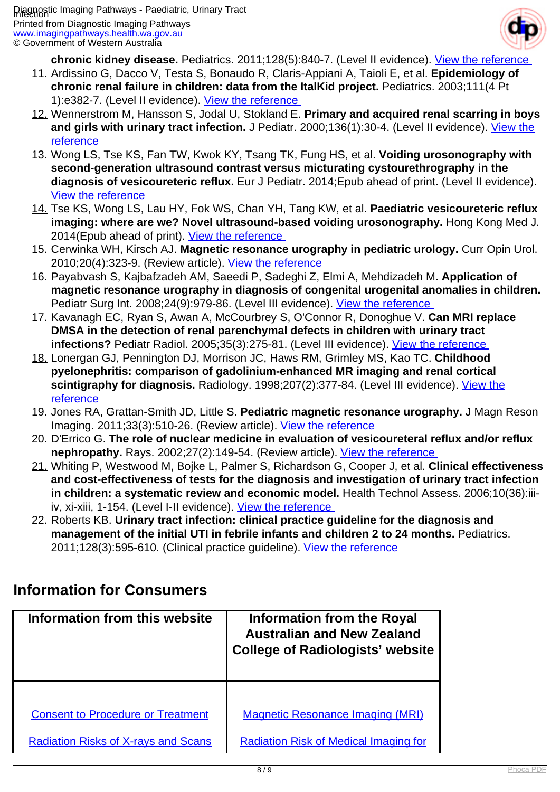

**chronic kidney disease.** Pediatrics. 2011;128(5):840-7. (Level II evidence). [View the reference](http://www.ncbi.nlm.nih.gov/pubmed/21987701) 

- 11. Ardissino G, Dacco V, Testa S, Bonaudo R, Claris-Appiani A, Taioli E, et al. **Epidemiology of chronic renal failure in children: data from the ItalKid project.** Pediatrics. 2003;111(4 Pt 1):e382-7. (Level II evidence). [View the reference](http://www.ncbi.nlm.nih.gov/pubmed/12671156)
- 12. Wennerstrom M, Hansson S, Jodal U, Stokland E. **Primary and acquired renal scarring in boys and girls with urinary tract infection.** J Pediatr. 2000;136(1):30-4. (Level II evidence). [View the](http://www.ncbi.nlm.nih.gov/pubmed/10636970) [reference](http://www.ncbi.nlm.nih.gov/pubmed/10636970)
- 13. Wong LS, Tse KS, Fan TW, Kwok KY, Tsang TK, Fung HS, et al. **Voiding urosonography with second-generation ultrasound contrast versus micturating cystourethrography in the diagnosis of vesicoureteric reflux.** Eur J Pediatr. 2014;Epub ahead of print. (Level II evidence). [View the reference](http://www.ncbi.nlm.nih.gov/pubmed/24659313)
- 14. Tse KS, Wong LS, Lau HY, Fok WS, Chan YH, Tang KW, et al. **Paediatric vesicoureteric reflux imaging: where are we? Novel ultrasound-based voiding urosonography.** Hong Kong Med J. 2014(Epub ahead of print). [View the reference](http://www.ncbi.nlm.nih.gov/pubmed/25045883)
- 15. Cerwinka WH, Kirsch AJ. **Magnetic resonance urography in pediatric urology.** Curr Opin Urol. 2010;20(4):323-9. (Review article). [View the reference](http://www.ncbi.nlm.nih.gov/pubmed/20531092)
- 16. Payabvash S, Kajbafzadeh AM, Saeedi P, Sadeghi Z, Elmi A, Mehdizadeh M. **Application of magnetic resonance urography in diagnosis of congenital urogenital anomalies in children.** Pediatr Surg Int. 2008;24(9):979-86. (Level III evidence). [View the reference](http://www.ncbi.nlm.nih.gov/pubmed/18668256)
- 17. Kavanagh EC, Ryan S, Awan A, McCourbrey S, O'Connor R, Donoghue V. **Can MRI replace DMSA in the detection of renal parenchymal defects in children with urinary tract infections?** Pediatr Radiol. 2005;35(3):275-81. (Level III evidence). [View the reference](http://www.ncbi.nlm.nih.gov/pubmed/15490148)
- 18. Lonergan GJ, Pennington DJ, Morrison JC, Haws RM, Grimley MS, Kao TC. **Childhood pyelonephritis: comparison of gadolinium-enhanced MR imaging and renal cortical** scintigraphy for diagnosis. Radiology. 1998;207(2):377-84. (Level III evidence). [View the](http://www.ncbi.nlm.nih.gov/pubmed/9577484) [reference](http://www.ncbi.nlm.nih.gov/pubmed/9577484)
- 19. Jones RA, Grattan-Smith JD, Little S. **Pediatric magnetic resonance urography.** J Magn Reson Imaging. 2011;33(3):510-26. (Review article). View the reference
- 20. D'Errico G. **The role of nuclear medicine in evaluation of vesicoureteral reflux and/or reflux nephropathy.** Rays. 2002;27(2):149-54. (Review article). View the reference
- 21. Whiting P, Westwood M, Bojke L, Palmer S, Richardson G, Cooper J, et al. **Clinical effectiveness and cost-effectiveness of tests for the diagnosis and investigation of urinary tract infection in children: a systematic review and economic model.** Health Technol Assess. 2006;10(36):iiiiv, xi-xiii, 1-154. (Level I-II evidence). View the reference
- 22. Roberts KB. **Urinary tract infection: clinical practice guideline for the diagnosis and management of the initial UTI in febrile infants and children 2 to 24 months.** Pediatrics. 2011;128(3):595-610. (Clinical practice guideline). View the reference

#### **Information for Consumers**

| Information from this website              | <b>Information from the Royal</b><br><b>Australian and New Zealand</b><br><b>College of Radiologists' website</b> |
|--------------------------------------------|-------------------------------------------------------------------------------------------------------------------|
|                                            |                                                                                                                   |
| <b>Consent to Procedure or Treatment</b>   | <b>Magnetic Resonance Imaging (MRI)</b>                                                                           |
| <b>Radiation Risks of X-rays and Scans</b> | <b>Radiation Risk of Medical Imaging for</b>                                                                      |